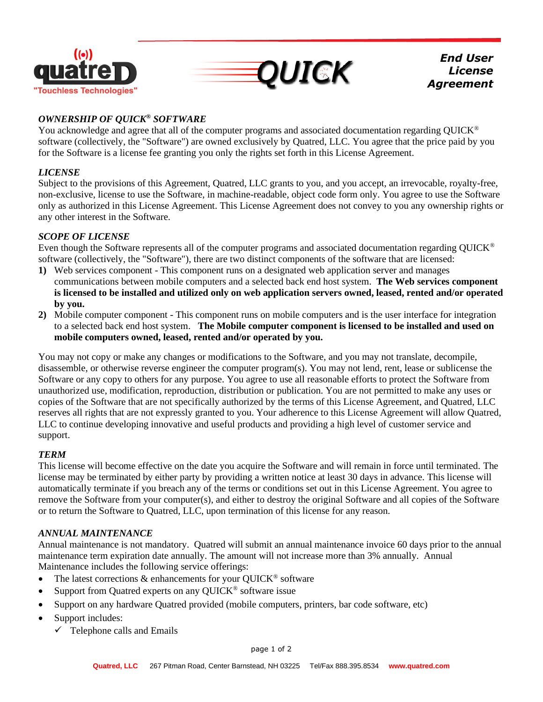



*End User License Agreement*

# *OWNERSHIP OF QUICK® SOFTWARE*

You acknowledge and agree that all of the computer programs and associated documentation regarding QUICK<sup>®</sup> software (collectively, the "Software") are owned exclusively by Quatred, LLC. You agree that the price paid by you for the Software is a license fee granting you only the rights set forth in this License Agreement.

### *LICENSE*

Subject to the provisions of this Agreement, Quatred, LLC grants to you, and you accept, an irrevocable, royalty-free, non-exclusive, license to use the Software, in machine-readable, object code form only. You agree to use the Software only as authorized in this License Agreement. This License Agreement does not convey to you any ownership rights or any other interest in the Software.

### *SCOPE OF LICENSE*

Even though the Software represents all of the computer programs and associated documentation regarding QUICK® software (collectively, the "Software"), there are two distinct components of the software that are licensed:

- **1)** Web services component This component runs on a designated web application server and manages communications between mobile computers and a selected back end host system. **The Web services component is licensed to be installed and utilized only on web application servers owned, leased, rented and/or operated by you.**
- **2)** Mobile computer component This component runs on mobile computers and is the user interface for integration to a selected back end host system. **The Mobile computer component is licensed to be installed and used on mobile computers owned, leased, rented and/or operated by you.**

You may not copy or make any changes or modifications to the Software, and you may not translate, decompile, disassemble, or otherwise reverse engineer the computer program(s). You may not lend, rent, lease or sublicense the Software or any copy to others for any purpose. You agree to use all reasonable efforts to protect the Software from unauthorized use, modification, reproduction, distribution or publication. You are not permitted to make any uses or copies of the Software that are not specifically authorized by the terms of this License Agreement, and Quatred, LLC reserves all rights that are not expressly granted to you. Your adherence to this License Agreement will allow Quatred, LLC to continue developing innovative and useful products and providing a high level of customer service and support.

#### *TERM*

This license will become effective on the date you acquire the Software and will remain in force until terminated. The license may be terminated by either party by providing a written notice at least 30 days in advance. This license will automatically terminate if you breach any of the terms or conditions set out in this License Agreement. You agree to remove the Software from your computer(s), and either to destroy the original Software and all copies of the Software or to return the Software to Quatred, LLC, upon termination of this license for any reason.

# *ANNUAL MAINTENANCE*

Annual maintenance is not mandatory. Quatred will submit an annual maintenance invoice 60 days prior to the annual maintenance term expiration date annually. The amount will not increase more than 3% annually. Annual Maintenance includes the following service offerings:

- The latest corrections  $\&$  enhancements for your QUICK<sup>®</sup> software
- Support from Quatred experts on any QUICK<sup>®</sup> software issue
- Support on any hardware Quatred provided (mobile computers, printers, bar code software, etc)
- Support includes:
	- $\checkmark$  Telephone calls and Emails